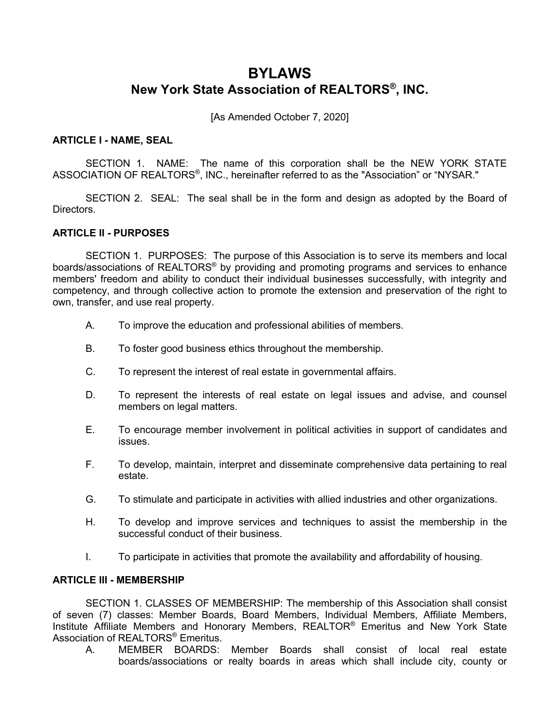# **BYLAWS New York State Association of REALTORS®, INC.**

[As Amended October 7, 2020]

### **ARTICLE I - NAME, SEAL**

SECTION 1. NAME: The name of this corporation shall be the NEW YORK STATE ASSOCIATION OF REALTORS®, INC., hereinafter referred to as the "Association" or "NYSAR."

SECTION 2. SEAL: The seal shall be in the form and design as adopted by the Board of Directors.

# **ARTICLE II - PURPOSES**

SECTION 1. PURPOSES: The purpose of this Association is to serve its members and local boards/associations of REALTORS<sup>®</sup> by providing and promoting programs and services to enhance members' freedom and ability to conduct their individual businesses successfully, with integrity and competency, and through collective action to promote the extension and preservation of the right to own, transfer, and use real property.

- A. To improve the education and professional abilities of members.
- B. To foster good business ethics throughout the membership.
- C. To represent the interest of real estate in governmental affairs.
- D. To represent the interests of real estate on legal issues and advise, and counsel members on legal matters.
- E. To encourage member involvement in political activities in support of candidates and issues.
- F. To develop, maintain, interpret and disseminate comprehensive data pertaining to real estate.
- G. To stimulate and participate in activities with allied industries and other organizations.
- H. To develop and improve services and techniques to assist the membership in the successful conduct of their business.
- I. To participate in activities that promote the availability and affordability of housing.

## **ARTICLE III - MEMBERSHIP**

SECTION 1. CLASSES OF MEMBERSHIP: The membership of this Association shall consist of seven (7) classes: Member Boards, Board Members, Individual Members, Affiliate Members, Institute Affiliate Members and Honorary Members, REALTOR® Emeritus and New York State Association of REALTORS<sup>®</sup> Emeritus.

A. MEMBER BOARDS: Member Boards shall consist of local real estate boards/associations or realty boards in areas which shall include city, county or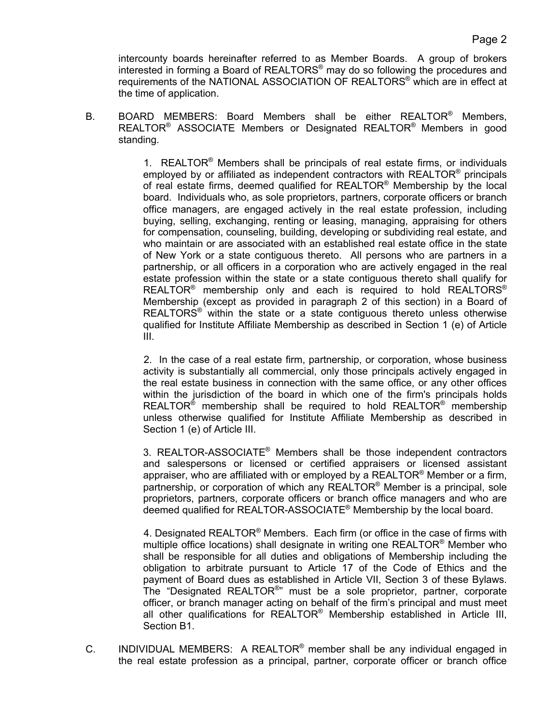intercounty boards hereinafter referred to as Member Boards. A group of brokers interested in forming a Board of REALTORS® may do so following the procedures and requirements of the NATIONAL ASSOCIATION OF REALTORS® which are in effect at the time of application.

B. BOARD MEMBERS: Board Members shall be either REALTOR® Members, REALTOR® ASSOCIATE Members or Designated REALTOR® Members in good standing.

> 1. REALTOR® Members shall be principals of real estate firms, or individuals employed by or affiliated as independent contractors with REALTOR<sup>®</sup> principals of real estate firms, deemed qualified for  $REALTOR^@$  Membership by the local board. Individuals who, as sole proprietors, partners, corporate officers or branch office managers, are engaged actively in the real estate profession, including buying, selling, exchanging, renting or leasing, managing, appraising for others for compensation, counseling, building, developing or subdividing real estate, and who maintain or are associated with an established real estate office in the state of New York or a state contiguous thereto. All persons who are partners in a partnership, or all officers in a corporation who are actively engaged in the real estate profession within the state or a state contiguous thereto shall qualify for REALTOR<sup>®</sup> membership only and each is required to hold REALTORS<sup>®</sup> Membership (except as provided in paragraph 2 of this section) in a Board of  $REALTORS<sup>®</sup>$  within the state or a state contiguous thereto unless otherwise qualified for Institute Affiliate Membership as described in Section 1 (e) of Article III.

> 2. In the case of a real estate firm, partnership, or corporation, whose business activity is substantially all commercial, only those principals actively engaged in the real estate business in connection with the same office, or any other offices within the jurisdiction of the board in which one of the firm's principals holds REALTOR<sup>®</sup> membership shall be required to hold REALTOR<sup>®</sup> membership unless otherwise qualified for Institute Affiliate Membership as described in Section 1 (e) of Article III.

> 3. REALTOR-ASSOCIATE® Members shall be those independent contractors and salespersons or licensed or certified appraisers or licensed assistant appraiser, who are affiliated with or employed by a REALTOR<sup>®</sup> Member or a firm, partnership, or corporation of which any REALTOR<sup>®</sup> Member is a principal, sole proprietors, partners, corporate officers or branch office managers and who are deemed qualified for REALTOR-ASSOCIATE® Membership by the local board.

> 4. Designated REALTOR® Members. Each firm (or office in the case of firms with multiple office locations) shall designate in writing one REALTOR<sup>®</sup> Member who shall be responsible for all duties and obligations of Membership including the obligation to arbitrate pursuant to Article 17 of the Code of Ethics and the payment of Board dues as established in Article VII, Section 3 of these Bylaws. The "Designated REALTOR®" must be a sole proprietor, partner, corporate officer, or branch manager acting on behalf of the firm's principal and must meet all other qualifications for REALTOR<sup>®</sup> Membership established in Article III, Section B1.

C. INDIVIDUAL MEMBERS: A REALTOR<sup>®</sup> member shall be any individual engaged in the real estate profession as a principal, partner, corporate officer or branch office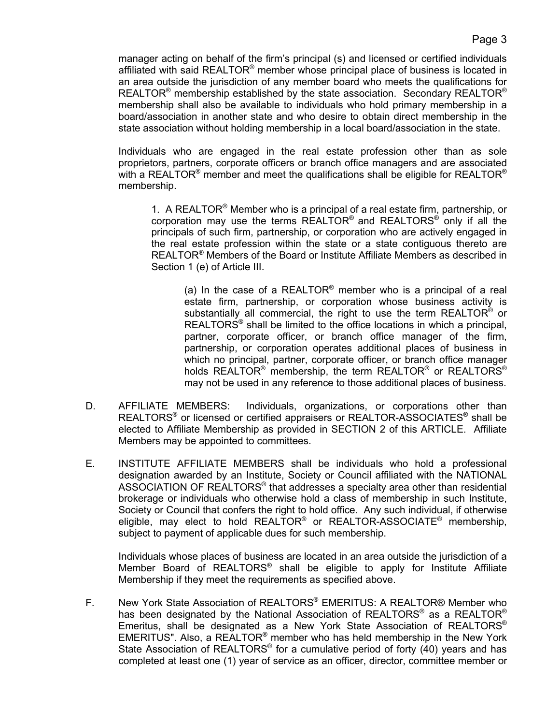manager acting on behalf of the firm's principal (s) and licensed or certified individuals affiliated with said REALTOR® member whose principal place of business is located in an area outside the jurisdiction of any member board who meets the qualifications for REALTOR<sup>®</sup> membership established by the state association. Secondary REALTOR<sup>®</sup> membership shall also be available to individuals who hold primary membership in a board/association in another state and who desire to obtain direct membership in the state association without holding membership in a local board/association in the state.

Individuals who are engaged in the real estate profession other than as sole proprietors, partners, corporate officers or branch office managers and are associated with a REALTOR<sup>®</sup> member and meet the qualifications shall be eligible for REALTOR<sup>®</sup> membership.

1. A REALTOR<sup>®</sup> Member who is a principal of a real estate firm, partnership, or corporation may use the terms REALTOR® and REALTORS® only if all the principals of such firm, partnership, or corporation who are actively engaged in the real estate profession within the state or a state contiguous thereto are REALTOR® Members of the Board or Institute Affiliate Members as described in Section 1 (e) of Article III.

(a) In the case of a REALTOR<sup>®</sup> member who is a principal of a real estate firm, partnership, or corporation whose business activity is substantially all commercial, the right to use the term REALTOR<sup>®</sup> or REALTORS® shall be limited to the office locations in which a principal, partner, corporate officer, or branch office manager of the firm, partnership, or corporation operates additional places of business in which no principal, partner, corporate officer, or branch office manager holds REALTOR<sup>®</sup> membership, the term REALTOR<sup>®</sup> or REALTORS<sup>®</sup> may not be used in any reference to those additional places of business.

- D. AFFILIATE MEMBERS: Individuals, organizations, or corporations other than REALTORS<sup>®</sup> or licensed or certified appraisers or REALTOR-ASSOCIATES<sup>®</sup> shall be elected to Affiliate Membership as provided in SECTION 2 of this ARTICLE. Affiliate Members may be appointed to committees.
- E. INSTITUTE AFFILIATE MEMBERS shall be individuals who hold a professional designation awarded by an Institute, Society or Council affiliated with the NATIONAL ASSOCIATION OF REALTORS® that addresses a specialty area other than residential brokerage or individuals who otherwise hold a class of membership in such Institute, Society or Council that confers the right to hold office. Any such individual, if otherwise eligible, may elect to hold REALTOR® or REALTOR-ASSOCIATE® membership, subject to payment of applicable dues for such membership.

Individuals whose places of business are located in an area outside the jurisdiction of a Member Board of REALTORS® shall be eligible to apply for Institute Affiliate Membership if they meet the requirements as specified above.

F. New York State Association of REALTORS® EMERITUS: A REALTOR® Member who has been designated by the National Association of REALTORS<sup>®</sup> as a REALTOR<sup>®</sup> Emeritus, shall be designated as a New York State Association of REALTORS® EMERITUS". Also, a REALTOR® member who has held membership in the New York State Association of REALTORS<sup>®</sup> for a cumulative period of forty (40) years and has completed at least one (1) year of service as an officer, director, committee member or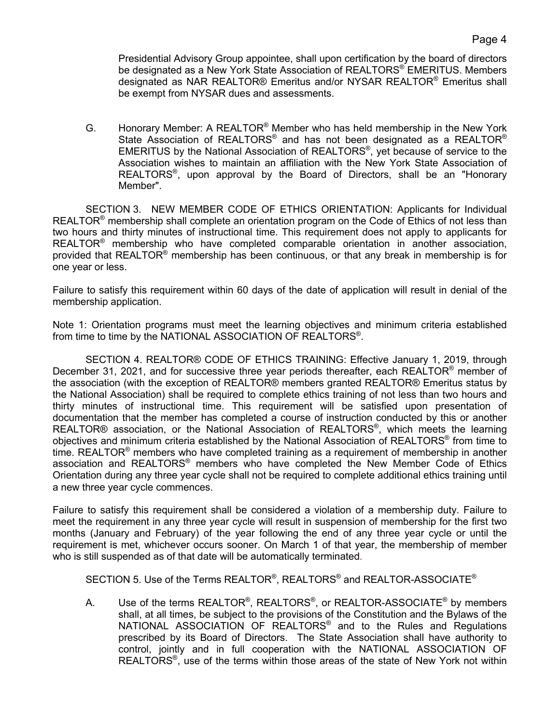Presidential Advisory Group appointee, shall upon certification by the board of directors be designated as a New York State Association of REALTORS<sup>®</sup> EMERITUS. Members designated as NAR REALTOR® Emeritus and/or NYSAR REALTOR® Emeritus shall be exempt from NYSAR dues and assessments.

G. Honorary Member: A REALTOR® Member who has held membership in the New York State Association of REALTORS<sup>®</sup> and has not been designated as a REALTOR<sup>®</sup> EMERITUS by the National Association of REALTORS®, yet because of service to the Association wishes to maintain an affiliation with the New York State Association of REALTORS®, upon approval by the Board of Directors, shall be an "Honorary Member".

SECTION 3. NEW MEMBER CODE OF ETHICS ORIENTATION: Applicants for Individual REALTOR<sup>®</sup> membership shall complete an orientation program on the Code of Ethics of not less than two hours and thirty minutes of instructional time. This requirement does not apply to applicants for REALTOR® membership who have completed comparable orientation in another association, provided that REALTOR<sup>®</sup> membership has been continuous, or that any break in membership is for one year or less.

Failure to satisfy this requirement within 60 days of the date of application will result in denial of the membership application.

Note 1: Orientation programs must meet the learning objectives and minimum criteria established from time to time by the NATIONAL ASSOCIATION OF REALTORS®.

SECTION 4. REALTOR® CODE OF ETHICS TRAINING: Effective January 1, 2019, through December 31, 2021, and for successive three year periods thereafter, each REALTOR<sup>®</sup> member of the association (with the exception of REALTOR® members granted REALTOR® Emeritus status by the National Association) shall be required to complete ethics training of not less than two hours and thirty minutes of instructional time. This requirement will be satisfied upon presentation of documentation that the member has completed a course of instruction conducted by this or another REALTOR® association, or the National Association of REALTORS®, which meets the learning objectives and minimum criteria established by the National Association of REALTORS® from time to time. REALTOR<sup>®</sup> members who have completed training as a requirement of membership in another association and REALTORS® members who have completed the New Member Code of Ethics Orientation during any three year cycle shall not be required to complete additional ethics training until a new three year cycle commences.

Failure to satisfy this requirement shall be considered a violation of a membership duty. Failure to meet the requirement in any three year cycle will result in suspension of membership for the first two months (January and February) of the year following the end of any three year cycle or until the requirement is met, whichever occurs sooner. On March 1 of that year, the membership of member who is still suspended as of that date will be automatically terminated.

SECTION 5. Use of the Terms REALTOR<sup>®</sup>, REALTORS<sup>®</sup> and REALTOR-ASSOCIATE<sup>®</sup>

A. Use of the terms REALTOR<sup>®</sup>, REALTORS<sup>®</sup>, or REALTOR-ASSOCIATE<sup>®</sup> by members shall, at all times, be subject to the provisions of the Constitution and the Bylaws of the NATIONAL ASSOCIATION OF REALTORS® and to the Rules and Regulations prescribed by its Board of Directors. The State Association shall have authority to control, jointly and in full cooperation with the NATIONAL ASSOCIATION OF REALTORS®, use of the terms within those areas of the state of New York not within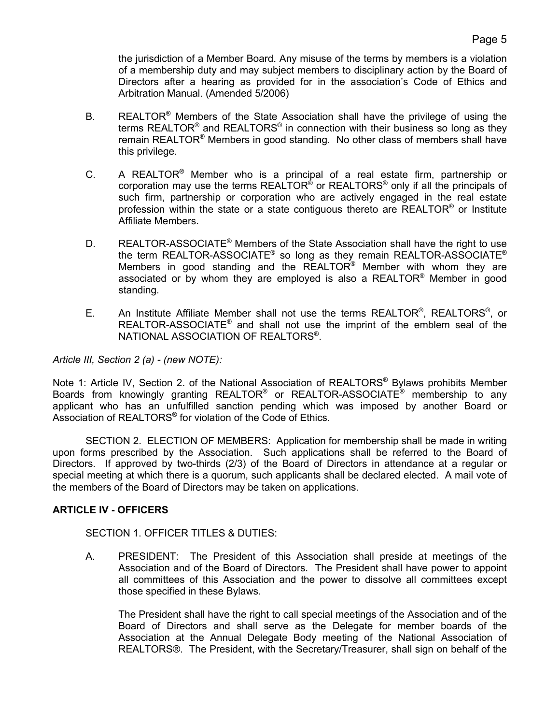the jurisdiction of a Member Board. Any misuse of the terms by members is a violation of a membership duty and may subject members to disciplinary action by the Board of Directors after a hearing as provided for in the association's Code of Ethics and Arbitration Manual. (Amended 5/2006)

- B. REALTOR<sup>®</sup> Members of the State Association shall have the privilege of using the terms REALTOR<sup>®</sup> and REALTORS<sup>®</sup> in connection with their business so long as they remain REALTOR® Members in good standing. No other class of members shall have this privilege.
- C. A REALTOR® Member who is a principal of a real estate firm, partnership or corporation may use the terms  $REALTOR^{\circ}$  or  $REALTORS^{\circ}$  only if all the principals of such firm, partnership or corporation who are actively engaged in the real estate profession within the state or a state contiguous thereto are  $REALTOR^@$  or Institute Affiliate Members.
- D. REALTOR-ASSOCIATE<sup>®</sup> Members of the State Association shall have the right to use the term REALTOR-ASSOCIATE<sup>®</sup> so long as they remain REALTOR-ASSOCIATE<sup>®</sup> Members in good standing and the REALTOR® Member with whom they are associated or by whom they are employed is also a REALTOR® Member in good standing.
- E. An Institute Affiliate Member shall not use the terms REALTOR®, REALTORS®, or REALTOR-ASSOCIATE® and shall not use the imprint of the emblem seal of the NATIONAL ASSOCIATION OF REALTORS®.

# *Article III, Section 2 (a) - (new NOTE):*

Note 1: Article IV, Section 2. of the National Association of REALTORS<sup>®</sup> Bylaws prohibits Member Boards from knowingly granting REALTOR<sup>®</sup> or REALTOR-ASSOCIATE<sup>®</sup> membership to any applicant who has an unfulfilled sanction pending which was imposed by another Board or Association of REALTORS® for violation of the Code of Ethics.

SECTION 2. ELECTION OF MEMBERS: Application for membership shall be made in writing upon forms prescribed by the Association. Such applications shall be referred to the Board of Directors. If approved by two-thirds (2/3) of the Board of Directors in attendance at a regular or special meeting at which there is a quorum, such applicants shall be declared elected. A mail vote of the members of the Board of Directors may be taken on applications.

### **ARTICLE IV - OFFICERS**

### SECTION 1. OFFICER TITLES & DUTIES:

A. PRESIDENT: The President of this Association shall preside at meetings of the Association and of the Board of Directors. The President shall have power to appoint all committees of this Association and the power to dissolve all committees except those specified in these Bylaws.

The President shall have the right to call special meetings of the Association and of the Board of Directors and shall serve as the Delegate for member boards of the Association at the Annual Delegate Body meeting of the National Association of REALTORS®. The President, with the Secretary/Treasurer, shall sign on behalf of the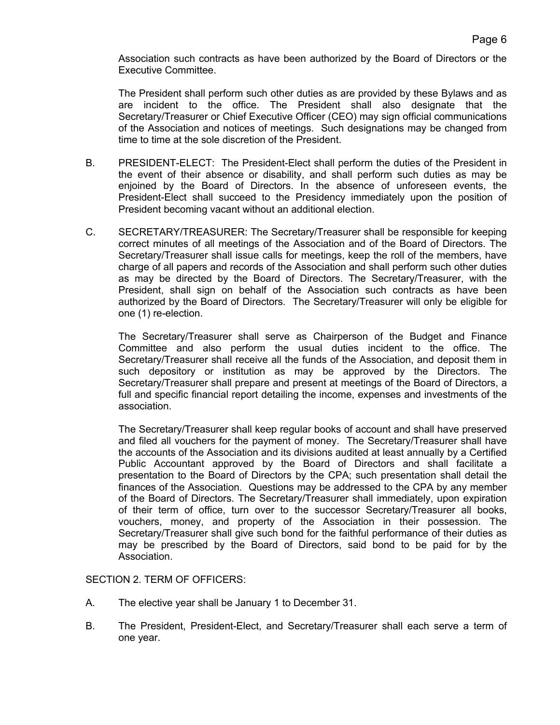Association such contracts as have been authorized by the Board of Directors or the Executive Committee.

The President shall perform such other duties as are provided by these Bylaws and as are incident to the office. The President shall also designate that the Secretary/Treasurer or Chief Executive Officer (CEO) may sign official communications of the Association and notices of meetings. Such designations may be changed from time to time at the sole discretion of the President.

- B. PRESIDENT-ELECT: The President-Elect shall perform the duties of the President in the event of their absence or disability, and shall perform such duties as may be enjoined by the Board of Directors. In the absence of unforeseen events, the President-Elect shall succeed to the Presidency immediately upon the position of President becoming vacant without an additional election.
- C. SECRETARY/TREASURER: The Secretary/Treasurer shall be responsible for keeping correct minutes of all meetings of the Association and of the Board of Directors. The Secretary/Treasurer shall issue calls for meetings, keep the roll of the members, have charge of all papers and records of the Association and shall perform such other duties as may be directed by the Board of Directors. The Secretary/Treasurer, with the President, shall sign on behalf of the Association such contracts as have been authorized by the Board of Directors. The Secretary/Treasurer will only be eligible for one (1) re-election.

The Secretary/Treasurer shall serve as Chairperson of the Budget and Finance Committee and also perform the usual duties incident to the office. The Secretary/Treasurer shall receive all the funds of the Association, and deposit them in such depository or institution as may be approved by the Directors. The Secretary/Treasurer shall prepare and present at meetings of the Board of Directors, a full and specific financial report detailing the income, expenses and investments of the association.

The Secretary/Treasurer shall keep regular books of account and shall have preserved and filed all vouchers for the payment of money. The Secretary/Treasurer shall have the accounts of the Association and its divisions audited at least annually by a Certified Public Accountant approved by the Board of Directors and shall facilitate a presentation to the Board of Directors by the CPA; such presentation shall detail the finances of the Association. Questions may be addressed to the CPA by any member of the Board of Directors. The Secretary/Treasurer shall immediately, upon expiration of their term of office, turn over to the successor Secretary/Treasurer all books, vouchers, money, and property of the Association in their possession. The Secretary/Treasurer shall give such bond for the faithful performance of their duties as may be prescribed by the Board of Directors, said bond to be paid for by the Association.

SECTION 2. TERM OF OFFICERS:

- A. The elective year shall be January 1 to December 31.
- B. The President, President-Elect, and Secretary/Treasurer shall each serve a term of one year.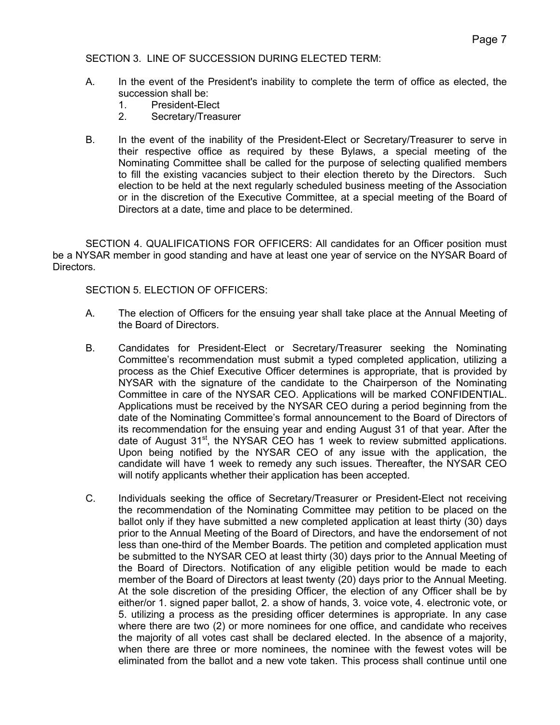# SECTION 3. LINE OF SUCCESSION DURING ELECTED TERM:

- A. In the event of the President's inability to complete the term of office as elected, the succession shall be:
	- 1. President-Elect
	- 2. Secretary/Treasurer
- B.In the event of the inability of the President-Elect or Secretary/Treasurer to serve in their respective office as required by these Bylaws, a special meeting of the Nominating Committee shall be called for the purpose of selecting qualified members to fill the existing vacancies subject to their election thereto by the Directors. Such election to be held at the next regularly scheduled business meeting of the Association or in the discretion of the Executive Committee, at a special meeting of the Board of Directors at a date, time and place to be determined.

SECTION 4. QUALIFICATIONS FOR OFFICERS: All candidates for an Officer position must be a NYSAR member in good standing and have at least one year of service on the NYSAR Board of Directors.

# SECTION 5. ELECTION OF OFFICERS:

- A. The election of Officers for the ensuing year shall take place at the Annual Meeting of the Board of Directors.
- B. Candidates for President-Elect or Secretary/Treasurer seeking the Nominating Committee's recommendation must submit a typed completed application, utilizing a process as the Chief Executive Officer determines is appropriate, that is provided by NYSAR with the signature of the candidate to the Chairperson of the Nominating Committee in care of the NYSAR CEO. Applications will be marked CONFIDENTIAL. Applications must be received by the NYSAR CEO during a period beginning from the date of the Nominating Committee's formal announcement to the Board of Directors of its recommendation for the ensuing year and ending August 31 of that year. After the date of August  $31<sup>st</sup>$ , the NYSAR CEO has 1 week to review submitted applications. Upon being notified by the NYSAR CEO of any issue with the application, the candidate will have 1 week to remedy any such issues. Thereafter, the NYSAR CEO will notify applicants whether their application has been accepted.
- C. Individuals seeking the office of Secretary/Treasurer or President-Elect not receiving the recommendation of the Nominating Committee may petition to be placed on the ballot only if they have submitted a new completed application at least thirty (30) days prior to the Annual Meeting of the Board of Directors, and have the endorsement of not less than one-third of the Member Boards. The petition and completed application must be submitted to the NYSAR CEO at least thirty (30) days prior to the Annual Meeting of the Board of Directors. Notification of any eligible petition would be made to each member of the Board of Directors at least twenty (20) days prior to the Annual Meeting. At the sole discretion of the presiding Officer, the election of any Officer shall be by either/or 1. signed paper ballot, 2. a show of hands, 3. voice vote, 4. electronic vote, or 5. utilizing a process as the presiding officer determines is appropriate. In any case where there are two (2) or more nominees for one office, and candidate who receives the majority of all votes cast shall be declared elected. In the absence of a majority, when there are three or more nominees, the nominee with the fewest votes will be eliminated from the ballot and a new vote taken. This process shall continue until one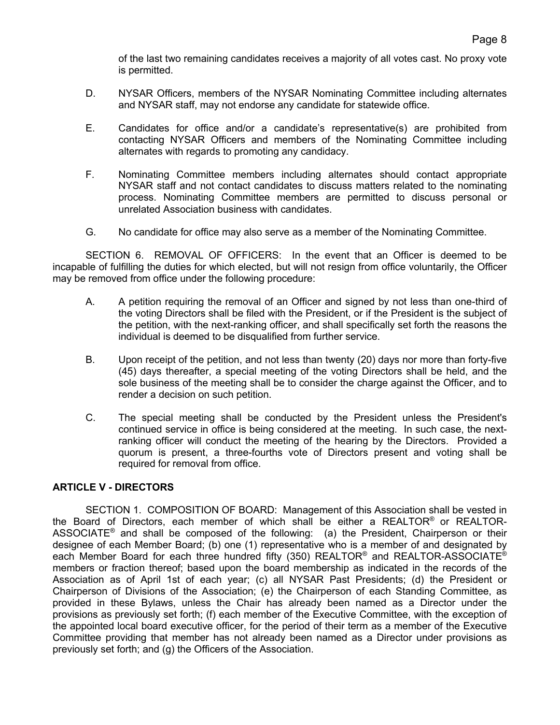of the last two remaining candidates receives a majority of all votes cast. No proxy vote is permitted.

- D. NYSAR Officers, members of the NYSAR Nominating Committee including alternates and NYSAR staff, may not endorse any candidate for statewide office.
- E. Candidates for office and/or a candidate's representative(s) are prohibited from contacting NYSAR Officers and members of the Nominating Committee including alternates with regards to promoting any candidacy.
- F. Nominating Committee members including alternates should contact appropriate NYSAR staff and not contact candidates to discuss matters related to the nominating process. Nominating Committee members are permitted to discuss personal or unrelated Association business with candidates.
- G. No candidate for office may also serve as a member of the Nominating Committee.

SECTION 6. REMOVAL OF OFFICERS: In the event that an Officer is deemed to be incapable of fulfilling the duties for which elected, but will not resign from office voluntarily, the Officer may be removed from office under the following procedure:

- A. A petition requiring the removal of an Officer and signed by not less than one-third of the voting Directors shall be filed with the President, or if the President is the subject of the petition, with the next-ranking officer, and shall specifically set forth the reasons the individual is deemed to be disqualified from further service.
- B. Upon receipt of the petition, and not less than twenty (20) days nor more than forty-five (45) days thereafter, a special meeting of the voting Directors shall be held, and the sole business of the meeting shall be to consider the charge against the Officer, and to render a decision on such petition.
- C. The special meeting shall be conducted by the President unless the President's continued service in office is being considered at the meeting. In such case, the nextranking officer will conduct the meeting of the hearing by the Directors. Provided a quorum is present, a three-fourths vote of Directors present and voting shall be required for removal from office.

# **ARTICLE V - DIRECTORS**

SECTION 1. COMPOSITION OF BOARD: Management of this Association shall be vested in the Board of Directors, each member of which shall be either a REALTOR® or REALTOR-ASSOCIATE<sup>®</sup> and shall be composed of the following: (a) the President, Chairperson or their designee of each Member Board; (b) one (1) representative who is a member of and designated by each Member Board for each three hundred fifty (350) REALTOR<sup>®</sup> and REALTOR-ASSOCIATE<sup>®</sup> members or fraction thereof; based upon the board membership as indicated in the records of the Association as of April 1st of each year; (c) all NYSAR Past Presidents; (d) the President or Chairperson of Divisions of the Association; (e) the Chairperson of each Standing Committee, as provided in these Bylaws, unless the Chair has already been named as a Director under the provisions as previously set forth; (f) each member of the Executive Committee, with the exception of the appointed local board executive officer, for the period of their term as a member of the Executive Committee providing that member has not already been named as a Director under provisions as previously set forth; and (g) the Officers of the Association.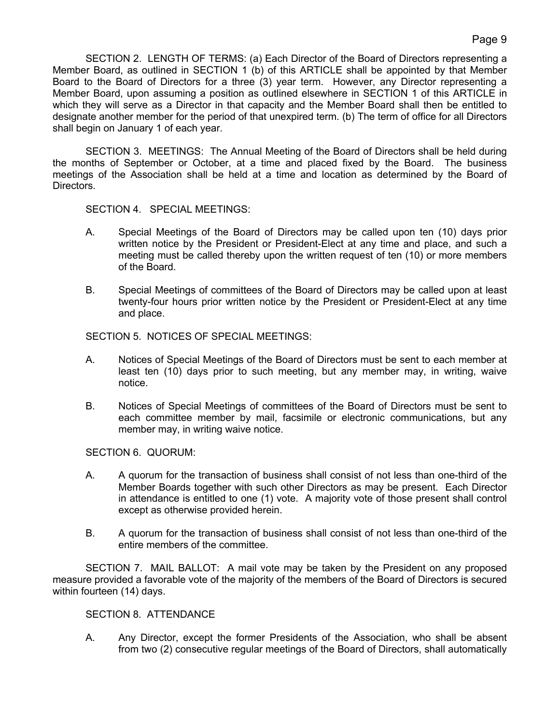SECTION 2. LENGTH OF TERMS: (a) Each Director of the Board of Directors representing a Member Board, as outlined in SECTION 1 (b) of this ARTICLE shall be appointed by that Member Board to the Board of Directors for a three (3) year term. However, any Director representing a Member Board, upon assuming a position as outlined elsewhere in SECTION 1 of this ARTICLE in which they will serve as a Director in that capacity and the Member Board shall then be entitled to designate another member for the period of that unexpired term. (b) The term of office for all Directors shall begin on January 1 of each year.

SECTION 3. MEETINGS: The Annual Meeting of the Board of Directors shall be held during the months of September or October, at a time and placed fixed by the Board. The business meetings of the Association shall be held at a time and location as determined by the Board of Directors.

SECTION 4. SPECIAL MEETINGS:

- A. Special Meetings of the Board of Directors may be called upon ten (10) days prior written notice by the President or President-Elect at any time and place, and such a meeting must be called thereby upon the written request of ten (10) or more members of the Board.
- B. Special Meetings of committees of the Board of Directors may be called upon at least twenty-four hours prior written notice by the President or President-Elect at any time and place.

SECTION 5. NOTICES OF SPECIAL MEETINGS:

- A. Notices of Special Meetings of the Board of Directors must be sent to each member at least ten (10) days prior to such meeting, but any member may, in writing, waive notice.
- B. Notices of Special Meetings of committees of the Board of Directors must be sent to each committee member by mail, facsimile or electronic communications, but any member may, in writing waive notice.

SECTION 6. QUORUM:

- A. A quorum for the transaction of business shall consist of not less than one-third of the Member Boards together with such other Directors as may be present. Each Director in attendance is entitled to one (1) vote. A majority vote of those present shall control except as otherwise provided herein.
- B. A quorum for the transaction of business shall consist of not less than one-third of the entire members of the committee.

SECTION 7. MAIL BALLOT: A mail vote may be taken by the President on any proposed measure provided a favorable vote of the majority of the members of the Board of Directors is secured within fourteen (14) days.

# SECTION 8. ATTENDANCE

A. Any Director, except the former Presidents of the Association, who shall be absent from two (2) consecutive regular meetings of the Board of Directors, shall automatically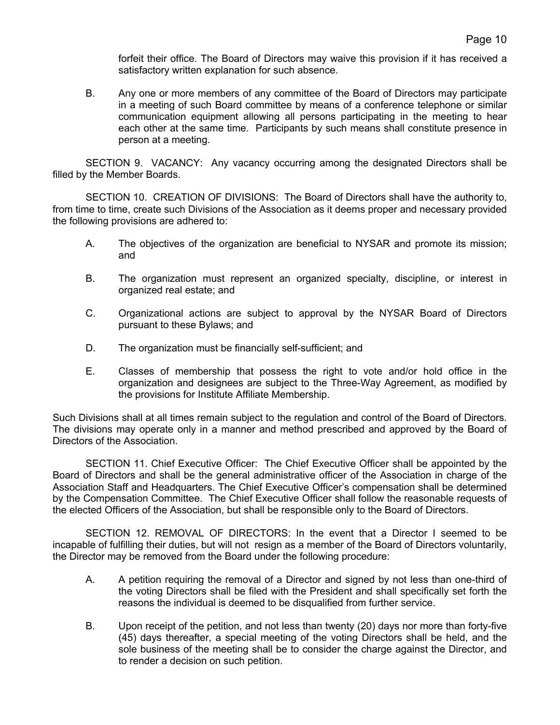forfeit their office. The Board of Directors may waive this provision if it has received a satisfactory written explanation for such absence.

B. Any one or more members of any committee of the Board of Directors may participate in a meeting of such Board committee by means of a conference telephone or similar communication equipment allowing all persons participating in the meeting to hear each other at the same time. Participants by such means shall constitute presence in person at a meeting.

SECTION 9. VACANCY: Any vacancy occurring among the designated Directors shall be filled by the Member Boards.

SECTION 10. CREATION OF DIVISIONS: The Board of Directors shall have the authority to, from time to time, create such Divisions of the Association as it deems proper and necessary provided the following provisions are adhered to:

- A. The objectives of the organization are beneficial to NYSAR and promote its mission; and
- B. The organization must represent an organized specialty, discipline, or interest in organized real estate; and
- C. Organizational actions are subject to approval by the NYSAR Board of Directors pursuant to these Bylaws; and
- D. The organization must be financially self-sufficient; and
- E. Classes of membership that possess the right to vote and/or hold office in the organization and designees are subject to the Three-Way Agreement, as modified by the provisions for Institute Affiliate Membership.

Such Divisions shall at all times remain subject to the regulation and control of the Board of Directors. The divisions may operate only in a manner and method prescribed and approved by the Board of Directors of the Association.

SECTION 11. Chief Executive Officer: The Chief Executive Officer shall be appointed by the Board of Directors and shall be the general administrative officer of the Association in charge of the Association Staff and Headquarters. The Chief Executive Officer's compensation shall be determined by the Compensation Committee. The Chief Executive Officer shall follow the reasonable requests of the elected Officers of the Association, but shall be responsible only to the Board of Directors.

SECTION 12. REMOVAL OF DIRECTORS: In the event that a Director I seemed to be incapable of fulfilling their duties, but will not resign as a member of the Board of Directors voluntarily, the Director may be removed from the Board under the following procedure:

- A. A petition requiring the removal of a Director and signed by not less than one-third of the voting Directors shall be filed with the President and shall specifically set forth the reasons the individual is deemed to be disqualified from further service.
- B. Upon receipt of the petition, and not less than twenty (20) days nor more than forty-five (45) days thereafter, a special meeting of the voting Directors shall be held, and the sole business of the meeting shall be to consider the charge against the Director, and to render a decision on such petition.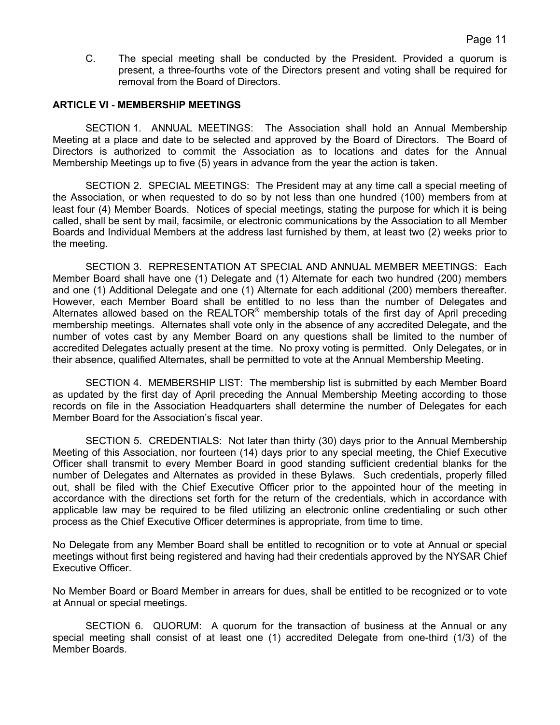C. The special meeting shall be conducted by the President. Provided a quorum is present, a three-fourths vote of the Directors present and voting shall be required for removal from the Board of Directors.

### **ARTICLE VI - MEMBERSHIP MEETINGS**

SECTION 1. ANNUAL MEETINGS: The Association shall hold an Annual Membership Meeting at a place and date to be selected and approved by the Board of Directors. The Board of Directors is authorized to commit the Association as to locations and dates for the Annual Membership Meetings up to five (5) years in advance from the year the action is taken.

SECTION 2. SPECIAL MEETINGS: The President may at any time call a special meeting of the Association, or when requested to do so by not less than one hundred (100) members from at least four (4) Member Boards. Notices of special meetings, stating the purpose for which it is being called, shall be sent by mail, facsimile, or electronic communications by the Association to all Member Boards and Individual Members at the address last furnished by them, at least two (2) weeks prior to the meeting.

SECTION 3. REPRESENTATION AT SPECIAL AND ANNUAL MEMBER MEETINGS: Each Member Board shall have one (1) Delegate and (1) Alternate for each two hundred (200) members and one (1) Additional Delegate and one (1) Alternate for each additional (200) members thereafter. However, each Member Board shall be entitled to no less than the number of Delegates and Alternates allowed based on the REALTOR® membership totals of the first day of April preceding membership meetings. Alternates shall vote only in the absence of any accredited Delegate, and the number of votes cast by any Member Board on any questions shall be limited to the number of accredited Delegates actually present at the time. No proxy voting is permitted. Only Delegates, or in their absence, qualified Alternates, shall be permitted to vote at the Annual Membership Meeting.

SECTION 4. MEMBERSHIP LIST: The membership list is submitted by each Member Board as updated by the first day of April preceding the Annual Membership Meeting according to those records on file in the Association Headquarters shall determine the number of Delegates for each Member Board for the Association's fiscal year.

SECTION 5. CREDENTIALS: Not later than thirty (30) days prior to the Annual Membership Meeting of this Association, nor fourteen (14) days prior to any special meeting, the Chief Executive Officer shall transmit to every Member Board in good standing sufficient credential blanks for the number of Delegates and Alternates as provided in these Bylaws. Such credentials, properly filled out, shall be filed with the Chief Executive Officer prior to the appointed hour of the meeting in accordance with the directions set forth for the return of the credentials, which in accordance with applicable law may be required to be filed utilizing an electronic online credentialing or such other process as the Chief Executive Officer determines is appropriate, from time to time.

No Delegate from any Member Board shall be entitled to recognition or to vote at Annual or special meetings without first being registered and having had their credentials approved by the NYSAR Chief Executive Officer.

No Member Board or Board Member in arrears for dues, shall be entitled to be recognized or to vote at Annual or special meetings.

SECTION 6. QUORUM: A quorum for the transaction of business at the Annual or any special meeting shall consist of at least one (1) accredited Delegate from one-third (1/3) of the Member Boards.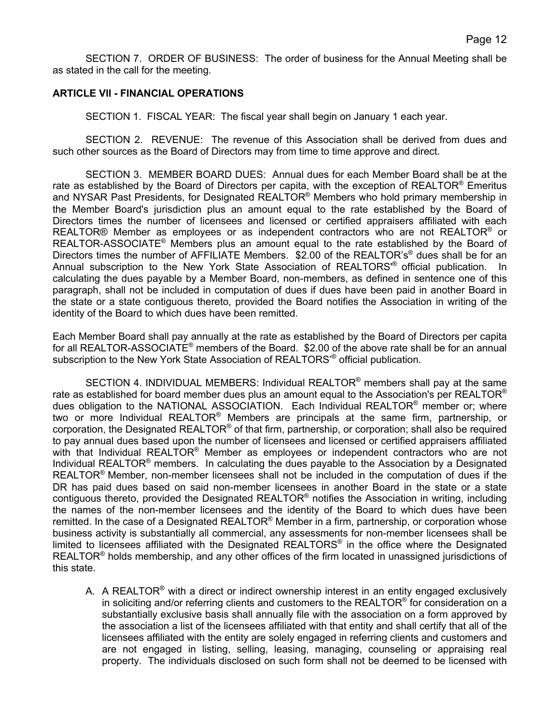SECTION 7. ORDER OF BUSINESS: The order of business for the Annual Meeting shall be as stated in the call for the meeting.

# **ARTICLE VII - FINANCIAL OPERATIONS**

SECTION 1. FISCAL YEAR: The fiscal year shall begin on January 1 each year.

SECTION 2. REVENUE: The revenue of this Association shall be derived from dues and such other sources as the Board of Directors may from time to time approve and direct.

SECTION 3. MEMBER BOARD DUES: Annual dues for each Member Board shall be at the rate as established by the Board of Directors per capita, with the exception of REALTOR<sup>®</sup> Emeritus and NYSAR Past Presidents, for Designated REALTOR® Members who hold primary membership in the Member Board's jurisdiction plus an amount equal to the rate established by the Board of Directors times the number of licensees and licensed or certified appraisers affiliated with each REALTOR<sup>®</sup> Member as employees or as independent contractors who are not REALTOR<sup>®</sup> or REALTOR-ASSOCIATE® Members plus an amount equal to the rate established by the Board of Directors times the number of AFFILIATE Members. \$2.00 of the REALTOR's<sup>®</sup> dues shall be for an Annual subscription to the New York State Association of REALTORS'® official publication. In calculating the dues payable by a Member Board, non-members, as defined in sentence one of this paragraph, shall not be included in computation of dues if dues have been paid in another Board in the state or a state contiguous thereto, provided the Board notifies the Association in writing of the identity of the Board to which dues have been remitted.

Each Member Board shall pay annually at the rate as established by the Board of Directors per capita for all REALTOR-ASSOCIATE® members of the Board. \$2.00 of the above rate shall be for an annual subscription to the New York State Association of REALTORS'® official publication.

SECTION 4. INDIVIDUAL MEMBERS: Individual REALTOR<sup>®</sup> members shall pay at the same rate as established for board member dues plus an amount equal to the Association's per REALTOR<sup>®</sup> dues obligation to the NATIONAL ASSOCIATION. Each Individual REALTOR<sup>®</sup> member or; where two or more Individual REALTOR® Members are principals at the same firm, partnership, or corporation, the Designated REALTOR® of that firm, partnership, or corporation; shall also be required to pay annual dues based upon the number of licensees and licensed or certified appraisers affiliated with that Individual REALTOR<sup>®</sup> Member as employees or independent contractors who are not Individual REALTOR® members. In calculating the dues payable to the Association by a Designated REALTOR® Member, non-member licensees shall not be included in the computation of dues if the DR has paid dues based on said non-member licensees in another Board in the state or a state contiguous thereto, provided the Designated REALTOR® notifies the Association in writing, including the names of the non-member licensees and the identity of the Board to which dues have been remitted. In the case of a Designated REALTOR<sup>®</sup> Member in a firm, partnership, or corporation whose business activity is substantially all commercial, any assessments for non-member licensees shall be limited to licensees affiliated with the Designated REALTORS® in the office where the Designated REALTOR<sup>®</sup> holds membership, and any other offices of the firm located in unassigned jurisdictions of this state.

A. A REALTOR<sup>®</sup> with a direct or indirect ownership interest in an entity engaged exclusively in soliciting and/or referring clients and customers to the REALTOR<sup>®</sup> for consideration on a substantially exclusive basis shall annually file with the association on a form approved by the association a list of the licensees affiliated with that entity and shall certify that all of the licensees affiliated with the entity are solely engaged in referring clients and customers and are not engaged in listing, selling, leasing, managing, counseling or appraising real property. The individuals disclosed on such form shall not be deemed to be licensed with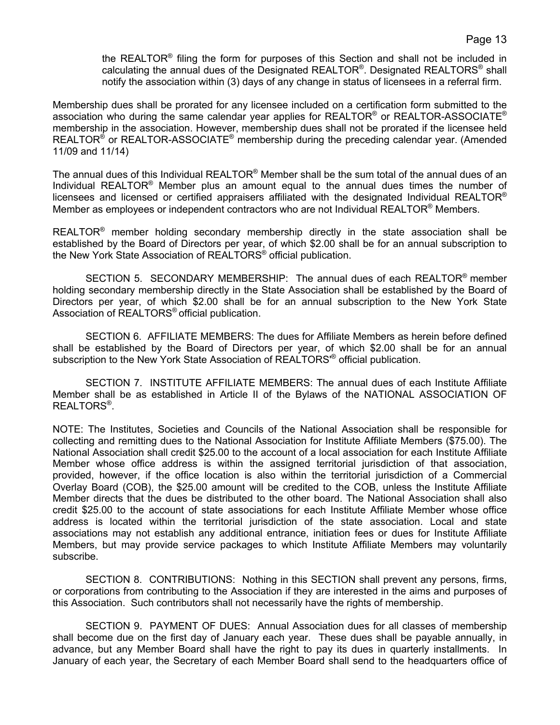the REALTOR® filing the form for purposes of this Section and shall not be included in calculating the annual dues of the Designated REALTOR®. Designated REALTORS® shall notify the association within (3) days of any change in status of licensees in a referral firm.

Membership dues shall be prorated for any licensee included on a certification form submitted to the association who during the same calendar year applies for REALTOR<sup>®</sup> or REALTOR-ASSOCIATE<sup>®</sup> membership in the association. However, membership dues shall not be prorated if the licensee held REALTOR<sup>®</sup> or REALTOR-ASSOCIATE<sup>®</sup> membership during the preceding calendar year. (Amended 11/09 and 11/14)

The annual dues of this Individual REALTOR® Member shall be the sum total of the annual dues of an Individual REALTOR® Member plus an amount equal to the annual dues times the number of licensees and licensed or certified appraisers affiliated with the designated Individual REALTOR<sup>®</sup> Member as employees or independent contractors who are not Individual REALTOR<sup>®</sup> Members.

REALTOR® member holding secondary membership directly in the state association shall be established by the Board of Directors per year, of which \$2.00 shall be for an annual subscription to the New York State Association of REALTORS® official publication.

SECTION 5. SECONDARY MEMBERSHIP: The annual dues of each REALTOR® member holding secondary membership directly in the State Association shall be established by the Board of Directors per year, of which \$2.00 shall be for an annual subscription to the New York State Association of REALTORS® official publication.

SECTION 6. AFFILIATE MEMBERS: The dues for Affiliate Members as herein before defined shall be established by the Board of Directors per year, of which \$2.00 shall be for an annual subscription to the New York State Association of REALTORS<sup>®</sup> official publication.

SECTION 7. INSTITUTE AFFILIATE MEMBERS: The annual dues of each Institute Affiliate Member shall be as established in Article II of the Bylaws of the NATIONAL ASSOCIATION OF REALTORS®.

NOTE: The Institutes, Societies and Councils of the National Association shall be responsible for collecting and remitting dues to the National Association for Institute Affiliate Members (\$75.00). The National Association shall credit \$25.00 to the account of a local association for each Institute Affiliate Member whose office address is within the assigned territorial jurisdiction of that association, provided, however, if the office location is also within the territorial jurisdiction of a Commercial Overlay Board (COB), the \$25.00 amount will be credited to the COB, unless the Institute Affiliate Member directs that the dues be distributed to the other board. The National Association shall also credit \$25.00 to the account of state associations for each Institute Affiliate Member whose office address is located within the territorial jurisdiction of the state association. Local and state associations may not establish any additional entrance, initiation fees or dues for Institute Affiliate Members, but may provide service packages to which Institute Affiliate Members may voluntarily subscribe.

SECTION 8. CONTRIBUTIONS: Nothing in this SECTION shall prevent any persons, firms, or corporations from contributing to the Association if they are interested in the aims and purposes of this Association. Such contributors shall not necessarily have the rights of membership.

SECTION 9. PAYMENT OF DUES: Annual Association dues for all classes of membership shall become due on the first day of January each year. These dues shall be payable annually, in advance, but any Member Board shall have the right to pay its dues in quarterly installments. In January of each year, the Secretary of each Member Board shall send to the headquarters office of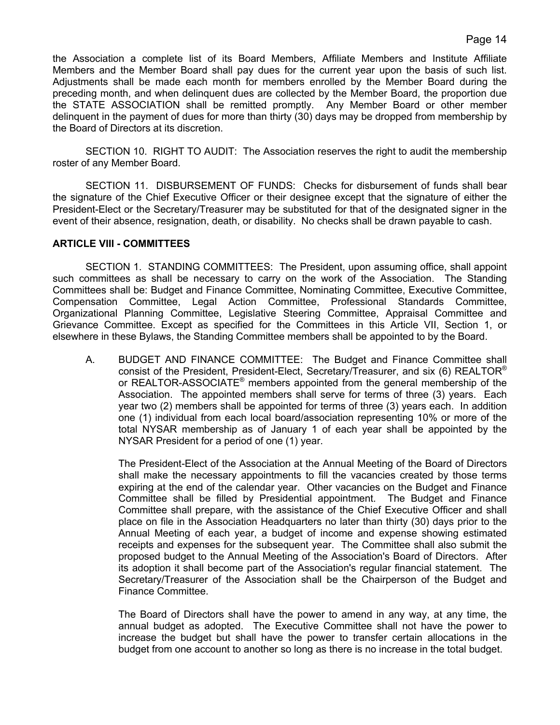the Association a complete list of its Board Members, Affiliate Members and Institute Affiliate Members and the Member Board shall pay dues for the current year upon the basis of such list. Adjustments shall be made each month for members enrolled by the Member Board during the preceding month, and when delinquent dues are collected by the Member Board, the proportion due the STATE ASSOCIATION shall be remitted promptly. Any Member Board or other member delinquent in the payment of dues for more than thirty (30) days may be dropped from membership by the Board of Directors at its discretion.

SECTION 10. RIGHT TO AUDIT: The Association reserves the right to audit the membership roster of any Member Board.

SECTION 11. DISBURSEMENT OF FUNDS: Checks for disbursement of funds shall bear the signature of the Chief Executive Officer or their designee except that the signature of either the President-Elect or the Secretary/Treasurer may be substituted for that of the designated signer in the event of their absence, resignation, death, or disability. No checks shall be drawn payable to cash.

# **ARTICLE VIII - COMMITTEES**

SECTION 1. STANDING COMMITTEES: The President, upon assuming office, shall appoint such committees as shall be necessary to carry on the work of the Association. The Standing Committees shall be: Budget and Finance Committee, Nominating Committee, Executive Committee, Compensation Committee, Legal Action Committee, Professional Standards Committee, Organizational Planning Committee, Legislative Steering Committee, Appraisal Committee and Grievance Committee. Except as specified for the Committees in this Article VII, Section 1, or elsewhere in these Bylaws, the Standing Committee members shall be appointed to by the Board.

A. BUDGET AND FINANCE COMMITTEE: The Budget and Finance Committee shall consist of the President, President-Elect, Secretary/Treasurer, and six (6) REALTOR® or REALTOR-ASSOCIATE® members appointed from the general membership of the Association. The appointed members shall serve for terms of three (3) years. Each year two (2) members shall be appointed for terms of three (3) years each. In addition one (1) individual from each local board/association representing 10% or more of the total NYSAR membership as of January 1 of each year shall be appointed by the NYSAR President for a period of one (1) year.

The President-Elect of the Association at the Annual Meeting of the Board of Directors shall make the necessary appointments to fill the vacancies created by those terms expiring at the end of the calendar year. Other vacancies on the Budget and Finance Committee shall be filled by Presidential appointment. The Budget and Finance Committee shall prepare, with the assistance of the Chief Executive Officer and shall place on file in the Association Headquarters no later than thirty (30) days prior to the Annual Meeting of each year, a budget of income and expense showing estimated receipts and expenses for the subsequent year. The Committee shall also submit the proposed budget to the Annual Meeting of the Association's Board of Directors. After its adoption it shall become part of the Association's regular financial statement. The Secretary/Treasurer of the Association shall be the Chairperson of the Budget and Finance Committee.

The Board of Directors shall have the power to amend in any way, at any time, the annual budget as adopted. The Executive Committee shall not have the power to increase the budget but shall have the power to transfer certain allocations in the budget from one account to another so long as there is no increase in the total budget.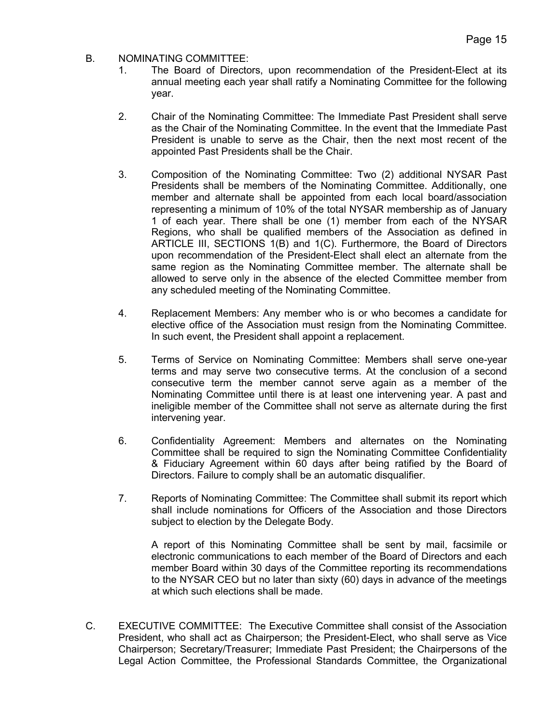# B. NOMINATING COMMITTEE:

- 1. The Board of Directors, upon recommendation of the President-Elect at its annual meeting each year shall ratify a Nominating Committee for the following year.
- 2. Chair of the Nominating Committee: The Immediate Past President shall serve as the Chair of the Nominating Committee. In the event that the Immediate Past President is unable to serve as the Chair, then the next most recent of the appointed Past Presidents shall be the Chair.
- 3. Composition of the Nominating Committee: Two (2) additional NYSAR Past Presidents shall be members of the Nominating Committee. Additionally, one member and alternate shall be appointed from each local board/association representing a minimum of 10% of the total NYSAR membership as of January 1 of each year. There shall be one (1) member from each of the NYSAR Regions, who shall be qualified members of the Association as defined in ARTICLE III, SECTIONS 1(B) and 1(C). Furthermore, the Board of Directors upon recommendation of the President-Elect shall elect an alternate from the same region as the Nominating Committee member. The alternate shall be allowed to serve only in the absence of the elected Committee member from any scheduled meeting of the Nominating Committee.
- 4. Replacement Members: Any member who is or who becomes a candidate for elective office of the Association must resign from the Nominating Committee. In such event, the President shall appoint a replacement.
- 5. Terms of Service on Nominating Committee: Members shall serve one-year terms and may serve two consecutive terms. At the conclusion of a second consecutive term the member cannot serve again as a member of the Nominating Committee until there is at least one intervening year. A past and ineligible member of the Committee shall not serve as alternate during the first intervening year.
- 6. Confidentiality Agreement: Members and alternates on the Nominating Committee shall be required to sign the Nominating Committee Confidentiality & Fiduciary Agreement within 60 days after being ratified by the Board of Directors. Failure to comply shall be an automatic disqualifier.
- 7. Reports of Nominating Committee: The Committee shall submit its report which shall include nominations for Officers of the Association and those Directors subject to election by the Delegate Body.

A report of this Nominating Committee shall be sent by mail, facsimile or electronic communications to each member of the Board of Directors and each member Board within 30 days of the Committee reporting its recommendations to the NYSAR CEO but no later than sixty (60) days in advance of the meetings at which such elections shall be made.

C. EXECUTIVE COMMITTEE: The Executive Committee shall consist of the Association President, who shall act as Chairperson; the President-Elect, who shall serve as Vice Chairperson; Secretary/Treasurer; Immediate Past President; the Chairpersons of the Legal Action Committee, the Professional Standards Committee, the Organizational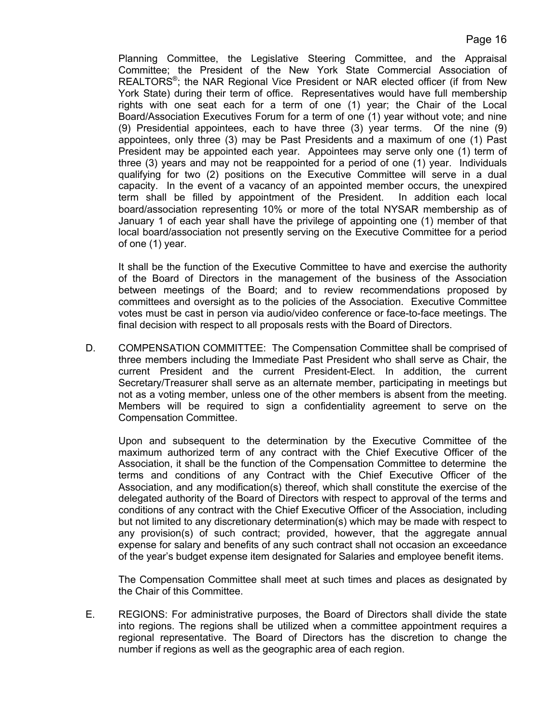Planning Committee, the Legislative Steering Committee, and the Appraisal Committee; the President of the New York State Commercial Association of REALTORS®; the NAR Regional Vice President or NAR elected officer (if from New York State) during their term of office. Representatives would have full membership rights with one seat each for a term of one (1) year; the Chair of the Local Board/Association Executives Forum for a term of one (1) year without vote; and nine (9) Presidential appointees, each to have three (3) year terms. Of the nine (9) appointees, only three (3) may be Past Presidents and a maximum of one (1) Past President may be appointed each year. Appointees may serve only one (1) term of three (3) years and may not be reappointed for a period of one (1) year. Individuals qualifying for two (2) positions on the Executive Committee will serve in a dual capacity. In the event of a vacancy of an appointed member occurs, the unexpired term shall be filled by appointment of the President. In addition each local board/association representing 10% or more of the total NYSAR membership as of January 1 of each year shall have the privilege of appointing one (1) member of that local board/association not presently serving on the Executive Committee for a period of one (1) year.

It shall be the function of the Executive Committee to have and exercise the authority of the Board of Directors in the management of the business of the Association between meetings of the Board; and to review recommendations proposed by committees and oversight as to the policies of the Association. Executive Committee votes must be cast in person via audio/video conference or face-to-face meetings. The final decision with respect to all proposals rests with the Board of Directors.

D. COMPENSATION COMMITTEE: The Compensation Committee shall be comprised of three members including the Immediate Past President who shall serve as Chair, the current President and the current President-Elect. In addition, the current Secretary/Treasurer shall serve as an alternate member, participating in meetings but not as a voting member, unless one of the other members is absent from the meeting. Members will be required to sign a confidentiality agreement to serve on the Compensation Committee.

Upon and subsequent to the determination by the Executive Committee of the maximum authorized term of any contract with the Chief Executive Officer of the Association, it shall be the function of the Compensation Committee to determine the terms and conditions of any Contract with the Chief Executive Officer of the Association, and any modification(s) thereof, which shall constitute the exercise of the delegated authority of the Board of Directors with respect to approval of the terms and conditions of any contract with the Chief Executive Officer of the Association, including but not limited to any discretionary determination(s) which may be made with respect to any provision(s) of such contract; provided, however, that the aggregate annual expense for salary and benefits of any such contract shall not occasion an exceedance of the year's budget expense item designated for Salaries and employee benefit items.

The Compensation Committee shall meet at such times and places as designated by the Chair of this Committee.

E. REGIONS: For administrative purposes, the Board of Directors shall divide the state into regions. The regions shall be utilized when a committee appointment requires a regional representative. The Board of Directors has the discretion to change the number if regions as well as the geographic area of each region.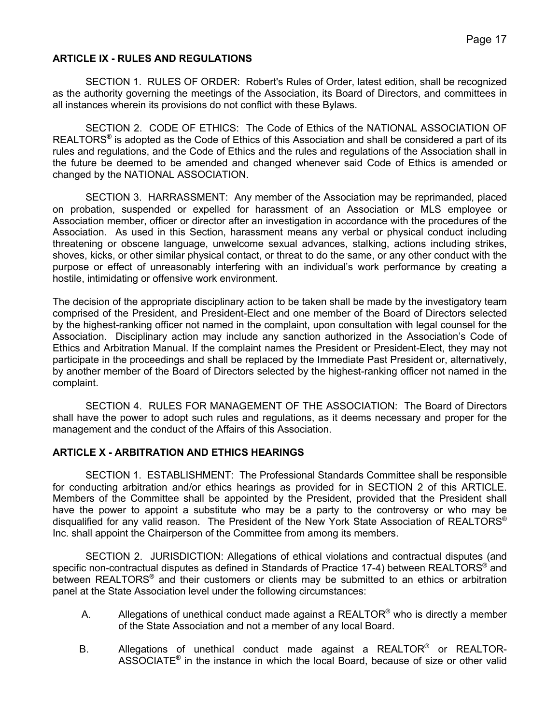# **ARTICLE IX - RULES AND REGULATIONS**

SECTION 1. RULES OF ORDER: Robert's Rules of Order, latest edition, shall be recognized as the authority governing the meetings of the Association, its Board of Directors, and committees in all instances wherein its provisions do not conflict with these Bylaws.

SECTION 2. CODE OF ETHICS: The Code of Ethics of the NATIONAL ASSOCIATION OF  $REALTORS<sup>®</sup>$  is adopted as the Code of Ethics of this Association and shall be considered a part of its rules and regulations, and the Code of Ethics and the rules and regulations of the Association shall in the future be deemed to be amended and changed whenever said Code of Ethics is amended or changed by the NATIONAL ASSOCIATION.

SECTION 3. HARRASSMENT: Any member of the Association may be reprimanded, placed on probation, suspended or expelled for harassment of an Association or MLS employee or Association member, officer or director after an investigation in accordance with the procedures of the Association. As used in this Section, harassment means any verbal or physical conduct including threatening or obscene language, unwelcome sexual advances, stalking, actions including strikes, shoves, kicks, or other similar physical contact, or threat to do the same, or any other conduct with the purpose or effect of unreasonably interfering with an individual's work performance by creating a hostile, intimidating or offensive work environment.

The decision of the appropriate disciplinary action to be taken shall be made by the investigatory team comprised of the President, and President-Elect and one member of the Board of Directors selected by the highest-ranking officer not named in the complaint, upon consultation with legal counsel for the Association. Disciplinary action may include any sanction authorized in the Association's Code of Ethics and Arbitration Manual. If the complaint names the President or President-Elect, they may not participate in the proceedings and shall be replaced by the Immediate Past President or, alternatively, by another member of the Board of Directors selected by the highest-ranking officer not named in the complaint.

SECTION 4. RULES FOR MANAGEMENT OF THE ASSOCIATION: The Board of Directors shall have the power to adopt such rules and regulations, as it deems necessary and proper for the management and the conduct of the Affairs of this Association.

### **ARTICLE X - ARBITRATION AND ETHICS HEARINGS**

SECTION 1. ESTABLISHMENT: The Professional Standards Committee shall be responsible for conducting arbitration and/or ethics hearings as provided for in SECTION 2 of this ARTICLE. Members of the Committee shall be appointed by the President, provided that the President shall have the power to appoint a substitute who may be a party to the controversy or who may be disqualified for any valid reason. The President of the New York State Association of REALTORS® Inc. shall appoint the Chairperson of the Committee from among its members.

SECTION 2. JURISDICTION: Allegations of ethical violations and contractual disputes (and specific non-contractual disputes as defined in Standards of Practice 17-4) between REALTORS<sup>®</sup> and between REALTORS<sup>®</sup> and their customers or clients may be submitted to an ethics or arbitration panel at the State Association level under the following circumstances:

- A. Allegations of unethical conduct made against a REALTOR<sup>®</sup> who is directly a member of the State Association and not a member of any local Board.
- B. Allegations of unethical conduct made against a REALTOR® or REALTOR-ASSOCIATE® in the instance in which the local Board, because of size or other valid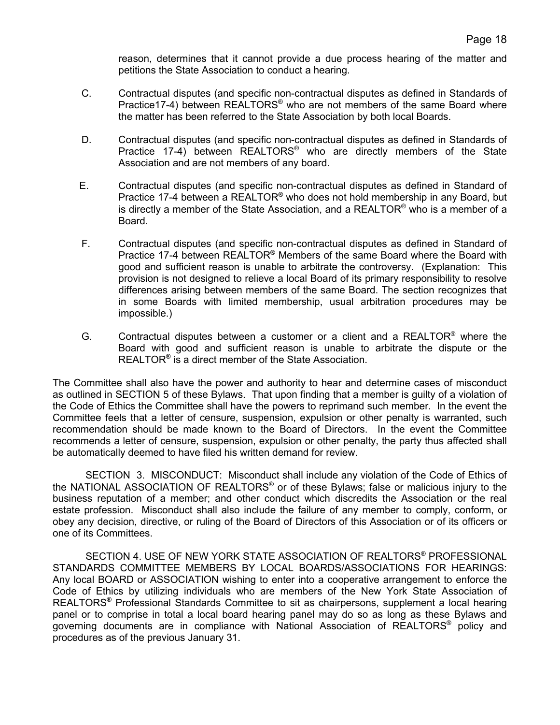reason, determines that it cannot provide a due process hearing of the matter and petitions the State Association to conduct a hearing.

- C. Contractual disputes (and specific non-contractual disputes as defined in Standards of Practice17-4) between REALTORS<sup>®</sup> who are not members of the same Board where the matter has been referred to the State Association by both local Boards.
- D. Contractual disputes (and specific non-contractual disputes as defined in Standards of Practice 17-4) between REALTORS<sup>®</sup> who are directly members of the State Association and are not members of any board.
- E. Contractual disputes (and specific non-contractual disputes as defined in Standard of Practice 17-4 between a REALTOR<sup>®</sup> who does not hold membership in any Board, but is directly a member of the State Association, and a REALTOR<sup>®</sup> who is a member of a Board.
- F. Contractual disputes (and specific non-contractual disputes as defined in Standard of Practice 17-4 between REALTOR® Members of the same Board where the Board with good and sufficient reason is unable to arbitrate the controversy. (Explanation: This provision is not designed to relieve a local Board of its primary responsibility to resolve differences arising between members of the same Board. The section recognizes that in some Boards with limited membership, usual arbitration procedures may be impossible.)
- G. Contractual disputes between a customer or a client and a REALTOR<sup>®</sup> where the Board with good and sufficient reason is unable to arbitrate the dispute or the REALTOR® is a direct member of the State Association.

The Committee shall also have the power and authority to hear and determine cases of misconduct as outlined in SECTION 5 of these Bylaws. That upon finding that a member is guilty of a violation of the Code of Ethics the Committee shall have the powers to reprimand such member. In the event the Committee feels that a letter of censure, suspension, expulsion or other penalty is warranted, such recommendation should be made known to the Board of Directors. In the event the Committee recommends a letter of censure, suspension, expulsion or other penalty, the party thus affected shall be automatically deemed to have filed his written demand for review.

SECTION 3. MISCONDUCT: Misconduct shall include any violation of the Code of Ethics of the NATIONAL ASSOCIATION OF REALTORS® or of these Bylaws; false or malicious injury to the business reputation of a member; and other conduct which discredits the Association or the real estate profession. Misconduct shall also include the failure of any member to comply, conform, or obey any decision, directive, or ruling of the Board of Directors of this Association or of its officers or one of its Committees.

SECTION 4. USE OF NEW YORK STATE ASSOCIATION OF REALTORS® PROFESSIONAL STANDARDS COMMITTEE MEMBERS BY LOCAL BOARDS/ASSOCIATIONS FOR HEARINGS: Any local BOARD or ASSOCIATION wishing to enter into a cooperative arrangement to enforce the Code of Ethics by utilizing individuals who are members of the New York State Association of REALTORS® Professional Standards Committee to sit as chairpersons, supplement a local hearing panel or to comprise in total a local board hearing panel may do so as long as these Bylaws and governing documents are in compliance with National Association of REALTORS® policy and procedures as of the previous January 31.